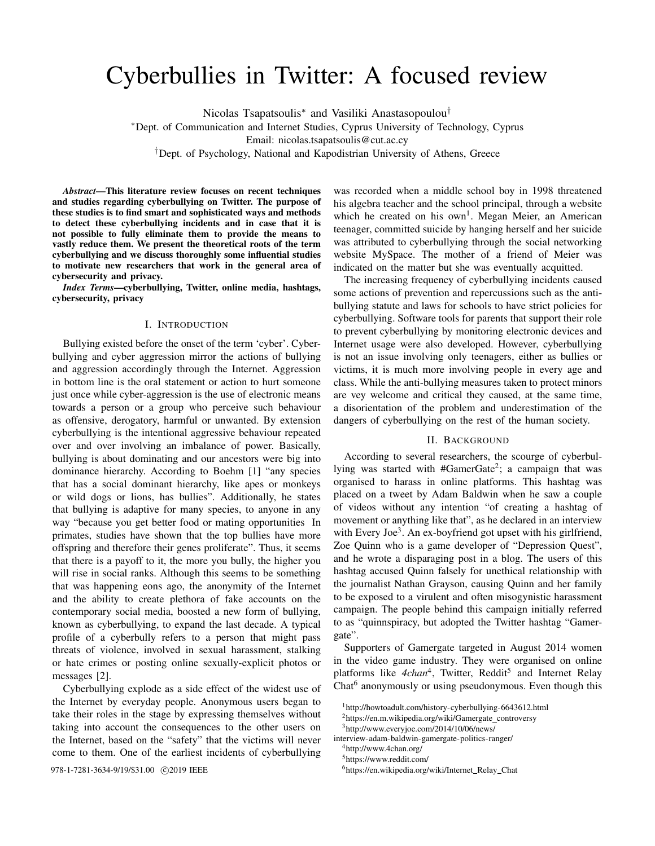# Cyberbullies in Twitter: A focused review

Nicolas Tsapatsoulis<sup>∗</sup> and Vasiliki Anastasopoulou† <sup>∗</sup>Dept. of Communication and Internet Studies, Cyprus University of Technology, Cyprus Email: nicolas.tsapatsoulis@cut.ac.cy †Dept. of Psychology, National and Kapodistrian University of Athens, Greece

*Abstract*—This literature review focuses on recent techniques and studies regarding cyberbullying on Twitter. The purpose of these studies is to find smart and sophisticated ways and methods to detect these cyberbullying incidents and in case that it is not possible to fully eliminate them to provide the means to vastly reduce them. We present the theoretical roots of the term cyberbullying and we discuss thoroughly some influential studies to motivate new researchers that work in the general area of cybersecurity and privacy.

*Index Terms*—cyberbullying, Twitter, online media, hashtags, cybersecurity, privacy

## I. INTRODUCTION

Bullying existed before the onset of the term 'cyber'. Cyberbullying and cyber aggression mirror the actions of bullying and aggression accordingly through the Internet. Aggression in bottom line is the oral statement or action to hurt someone just once while cyber-aggression is the use of electronic means towards a person or a group who perceive such behaviour as offensive, derogatory, harmful or unwanted. By extension cyberbullying is the intentional aggressive behaviour repeated over and over involving an imbalance of power. Basically, bullying is about dominating and our ancestors were big into dominance hierarchy. According to Boehm [1] "any species that has a social dominant hierarchy, like apes or monkeys or wild dogs or lions, has bullies". Additionally, he states that bullying is adaptive for many species, to anyone in any way "because you get better food or mating opportunities In primates, studies have shown that the top bullies have more offspring and therefore their genes proliferate". Thus, it seems that there is a payoff to it, the more you bully, the higher you will rise in social ranks. Although this seems to be something that was happening eons ago, the anonymity of the Internet and the ability to create plethora of fake accounts on the contemporary social media, boosted a new form of bullying, known as cyberbullying, to expand the last decade. A typical profile of a cyberbully refers to a person that might pass threats of violence, involved in sexual harassment, stalking or hate crimes or posting online sexually-explicit photos or messages [2].

Cyberbullying explode as a side effect of the widest use of the Internet by everyday people. Anonymous users began to take their roles in the stage by expressing themselves without taking into account the consequences to the other users on the Internet, based on the "safety" that the victims will never come to them. One of the earliest incidents of cyberbullying

was recorded when a middle school boy in 1998 threatened his algebra teacher and the school principal, through a website which he created on his own<sup>1</sup>. Megan Meier, an American teenager, committed suicide by hanging herself and her suicide was attributed to cyberbullying through the social networking website MySpace. The mother of a friend of Meier was indicated on the matter but she was eventually acquitted.

The increasing frequency of cyberbullying incidents caused some actions of prevention and repercussions such as the antibullying statute and laws for schools to have strict policies for cyberbullying. Software tools for parents that support their role to prevent cyberbullying by monitoring electronic devices and Internet usage were also developed. However, cyberbullying is not an issue involving only teenagers, either as bullies or victims, it is much more involving people in every age and class. While the anti-bullying measures taken to protect minors are vey welcome and critical they caused, at the same time, a disorientation of the problem and underestimation of the dangers of cyberbullying on the rest of the human society.

# II. BACKGROUND

According to several researchers, the scourge of cyberbullying was started with #GamerGate<sup>2</sup>; a campaign that was organised to harass in online platforms. This hashtag was placed on a tweet by Adam Baldwin when he saw a couple of videos without any intention "of creating a hashtag of movement or anything like that", as he declared in an interview with Every Joe<sup>3</sup>. An ex-boyfriend got upset with his girlfriend, Zoe Quinn who is a game developer of "Depression Quest", and he wrote a disparaging post in a blog. The users of this hashtag accused Quinn falsely for unethical relationship with the journalist Nathan Grayson, causing Quinn and her family to be exposed to a virulent and often misogynistic harassment campaign. The people behind this campaign initially referred to as "quinnspiracy, but adopted the Twitter hashtag "Gamergate".

Supporters of Gamergate targeted in August 2014 women in the video game industry. They were organised on online platforms like 4chan<sup>4</sup>, Twitter, Reddit<sup>5</sup> and Internet Relay Chat<sup>6</sup> anonymously or using pseudonymous. Even though this

<sup>3</sup>http://www.everyjoe.com/2014/10/06/news/

interview-adam-baldwin-gamergate-politics-ranger/

<sup>4</sup>http://www.4chan.org/

<sup>5</sup>https://www.reddit.com/

978-1-7281-3634-9/19/\$31.00 ©2019 IEEE https://en.wikipedia.org/wiki/Internet\_Relay\_Chat

<sup>1</sup>http://howtoadult.com/history-cyberbullying-6643612.html <sup>2</sup>https://en.m.wikipedia.org/wiki/Gamergate\_controversy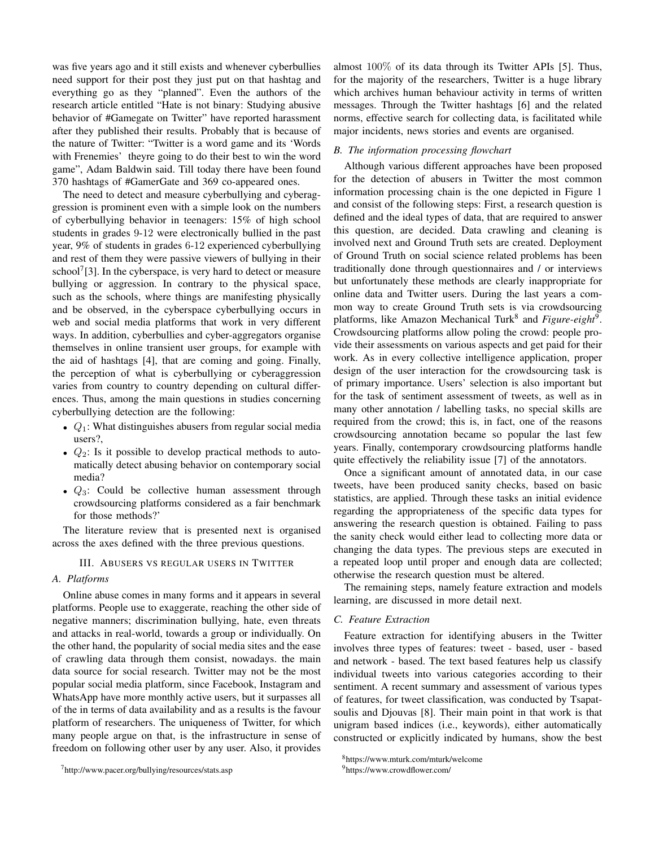was five years ago and it still exists and whenever cyberbullies need support for their post they just put on that hashtag and everything go as they "planned". Even the authors of the research article entitled "Hate is not binary: Studying abusive behavior of #Gamegate on Twitter" have reported harassment after they published their results. Probably that is because of the nature of Twitter: "Twitter is a word game and its 'Words with Frenemies' theyre going to do their best to win the word game", Adam Baldwin said. Till today there have been found 370 hashtags of #GamerGate and 369 co-appeared ones.

The need to detect and measure cyberbullying and cyberaggression is prominent even with a simple look on the numbers of cyberbullying behavior in teenagers: 15% of high school students in grades 9-12 were electronically bullied in the past year, 9% of students in grades 6-12 experienced cyberbullying and rest of them they were passive viewers of bullying in their school<sup>7</sup>[3]. In the cyberspace, is very hard to detect or measure bullying or aggression. In contrary to the physical space, such as the schools, where things are manifesting physically and be observed, in the cyberspace cyberbullying occurs in web and social media platforms that work in very different ways. In addition, cyberbullies and cyber-aggregators organise themselves in online transient user groups, for example with the aid of hashtags [4], that are coming and going. Finally, the perception of what is cyberbullying or cyberaggression varies from country to country depending on cultural differences. Thus, among the main questions in studies concerning cyberbullying detection are the following:

- $Q_1$ : What distinguishes abusers from regular social media users?,
- $Q_2$ : Is it possible to develop practical methods to automatically detect abusing behavior on contemporary social media?
- $Q_3$ : Could be collective human assessment through crowdsourcing platforms considered as a fair benchmark for those methods?'

The literature review that is presented next is organised across the axes defined with the three previous questions.

### III. ABUSERS VS REGULAR USERS IN TWITTER

## *A. Platforms*

Online abuse comes in many forms and it appears in several platforms. People use to exaggerate, reaching the other side of negative manners; discrimination bullying, hate, even threats and attacks in real-world, towards a group or individually. On the other hand, the popularity of social media sites and the ease of crawling data through them consist, nowadays. the main data source for social research. Twitter may not be the most popular social media platform, since Facebook, Instagram and WhatsApp have more monthly active users, but it surpasses all of the in terms of data availability and as a results is the favour platform of researchers. The uniqueness of Twitter, for which many people argue on that, is the infrastructure in sense of freedom on following other user by any user. Also, it provides

<sup>7</sup>http://www.pacer.org/bullying/resources/stats.asp

almost 100% of its data through its Twitter APIs [5]. Thus, for the majority of the researchers, Twitter is a huge library which archives human behaviour activity in terms of written messages. Through the Twitter hashtags [6] and the related norms, effective search for collecting data, is facilitated while major incidents, news stories and events are organised.

# *B. The information processing flowchart*

Although various different approaches have been proposed for the detection of abusers in Twitter the most common information processing chain is the one depicted in Figure 1 and consist of the following steps: First, a research question is defined and the ideal types of data, that are required to answer this question, are decided. Data crawling and cleaning is involved next and Ground Truth sets are created. Deployment of Ground Truth on social science related problems has been traditionally done through questionnaires and / or interviews but unfortunately these methods are clearly inappropriate for online data and Twitter users. During the last years a common way to create Ground Truth sets is via crowdsourcing platforms, like Amazon Mechanical Turk<sup>8</sup> and *Figure-eight*<sup>9</sup>. Crowdsourcing platforms allow poling the crowd: people provide their assessments on various aspects and get paid for their work. As in every collective intelligence application, proper design of the user interaction for the crowdsourcing task is of primary importance. Users' selection is also important but for the task of sentiment assessment of tweets, as well as in many other annotation / labelling tasks, no special skills are required from the crowd; this is, in fact, one of the reasons crowdsourcing annotation became so popular the last few years. Finally, contemporary crowdsourcing platforms handle quite effectively the reliability issue [7] of the annotators.

Once a significant amount of annotated data, in our case tweets, have been produced sanity checks, based on basic statistics, are applied. Through these tasks an initial evidence regarding the appropriateness of the specific data types for answering the research question is obtained. Failing to pass the sanity check would either lead to collecting more data or changing the data types. The previous steps are executed in a repeated loop until proper and enough data are collected; otherwise the research question must be altered.

The remaining steps, namely feature extraction and models learning, are discussed in more detail next.

## *C. Feature Extraction*

Feature extraction for identifying abusers in the Twitter involves three types of features: tweet - based, user - based and network - based. The text based features help us classify individual tweets into various categories according to their sentiment. A recent summary and assessment of various types of features, for tweet classification, was conducted by Tsapatsoulis and Djouvas [8]. Their main point in that work is that unigram based indices (i.e., keywords), either automatically constructed or explicitly indicated by humans, show the best

<sup>8</sup>https://www.mturk.com/mturk/welcome

<sup>9</sup>https://www.crowdflower.com/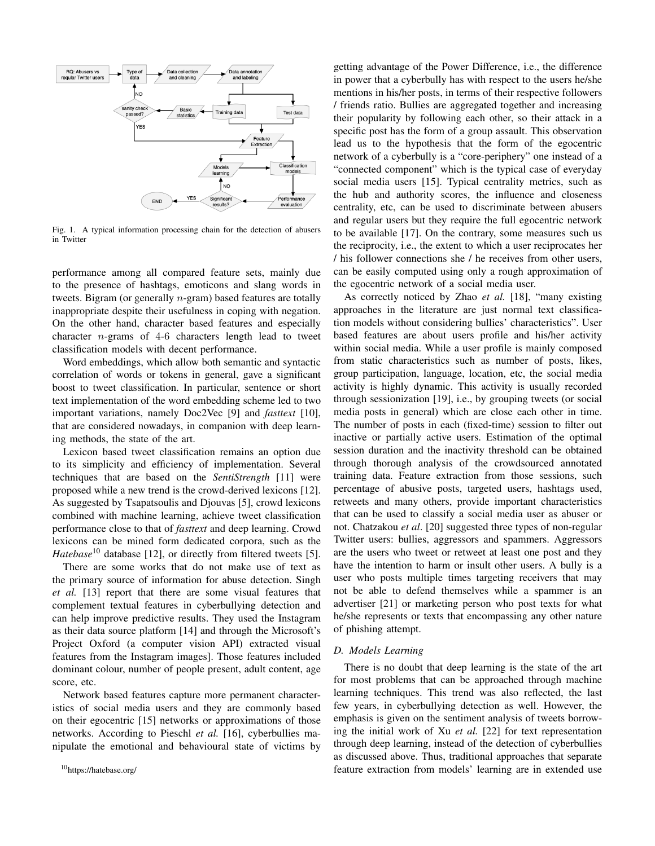

Fig. 1. A typical information processing chain for the detection of abusers in Twitter

performance among all compared feature sets, mainly due to the presence of hashtags, emoticons and slang words in tweets. Bigram (or generally  $n$ -gram) based features are totally inappropriate despite their usefulness in coping with negation. On the other hand, character based features and especially character  $n$ -grams of 4-6 characters length lead to tweet classification models with decent performance.

Word embeddings, which allow both semantic and syntactic correlation of words or tokens in general, gave a significant boost to tweet classification. In particular, sentence or short text implementation of the word embedding scheme led to two important variations, namely Doc2Vec [9] and *fasttext* [10], that are considered nowadays, in companion with deep learning methods, the state of the art.

Lexicon based tweet classification remains an option due to its simplicity and efficiency of implementation. Several techniques that are based on the *SentiStrength* [11] were proposed while a new trend is the crowd-derived lexicons [12]. As suggested by Tsapatsoulis and Djouvas [5], crowd lexicons combined with machine learning, achieve tweet classification performance close to that of *fasttext* and deep learning. Crowd lexicons can be mined form dedicated corpora, such as the *Hatebase*<sup>10</sup> database [12], or directly from filtered tweets [5].

There are some works that do not make use of text as the primary source of information for abuse detection. Singh *et al.* [13] report that there are some visual features that complement textual features in cyberbullying detection and can help improve predictive results. They used the Instagram as their data source platform [14] and through the Microsoft's Project Oxford (a computer vision API) extracted visual features from the Instagram images]. Those features included dominant colour, number of people present, adult content, age score, etc.

Network based features capture more permanent characteristics of social media users and they are commonly based on their egocentric [15] networks or approximations of those networks. According to Pieschl *et al.* [16], cyberbullies manipulate the emotional and behavioural state of victims by

<sup>10</sup>https://hatebase.org/

getting advantage of the Power Difference, i.e., the difference in power that a cyberbully has with respect to the users he/she mentions in his/her posts, in terms of their respective followers / friends ratio. Bullies are aggregated together and increasing their popularity by following each other, so their attack in a specific post has the form of a group assault. This observation lead us to the hypothesis that the form of the egocentric network of a cyberbully is a "core-periphery" one instead of a "connected component" which is the typical case of everyday social media users [15]. Typical centrality metrics, such as the hub and authority scores, the influence and closeness centrality, etc, can be used to discriminate between abusers and regular users but they require the full egocentric network to be available [17]. On the contrary, some measures such us the reciprocity, i.e., the extent to which a user reciprocates her / his follower connections she / he receives from other users, can be easily computed using only a rough approximation of the egocentric network of a social media user.

As correctly noticed by Zhao *et al.* [18], "many existing approaches in the literature are just normal text classification models without considering bullies' characteristics". User based features are about users profile and his/her activity within social media. While a user profile is mainly composed from static characteristics such as number of posts, likes, group participation, language, location, etc, the social media activity is highly dynamic. This activity is usually recorded through sessionization [19], i.e., by grouping tweets (or social media posts in general) which are close each other in time. The number of posts in each (fixed-time) session to filter out inactive or partially active users. Estimation of the optimal session duration and the inactivity threshold can be obtained through thorough analysis of the crowdsourced annotated training data. Feature extraction from those sessions, such percentage of abusive posts, targeted users, hashtags used, retweets and many others, provide important characteristics that can be used to classify a social media user as abuser or not. Chatzakou *et al*. [20] suggested three types of non-regular Twitter users: bullies, aggressors and spammers. Aggressors are the users who tweet or retweet at least one post and they have the intention to harm or insult other users. A bully is a user who posts multiple times targeting receivers that may not be able to defend themselves while a spammer is an advertiser [21] or marketing person who post texts for what he/she represents or texts that encompassing any other nature of phishing attempt.

# *D. Models Learning*

There is no doubt that deep learning is the state of the art for most problems that can be approached through machine learning techniques. This trend was also reflected, the last few years, in cyberbullying detection as well. However, the emphasis is given on the sentiment analysis of tweets borrowing the initial work of Xu *et al.* [22] for text representation through deep learning, instead of the detection of cyberbullies as discussed above. Thus, traditional approaches that separate feature extraction from models' learning are in extended use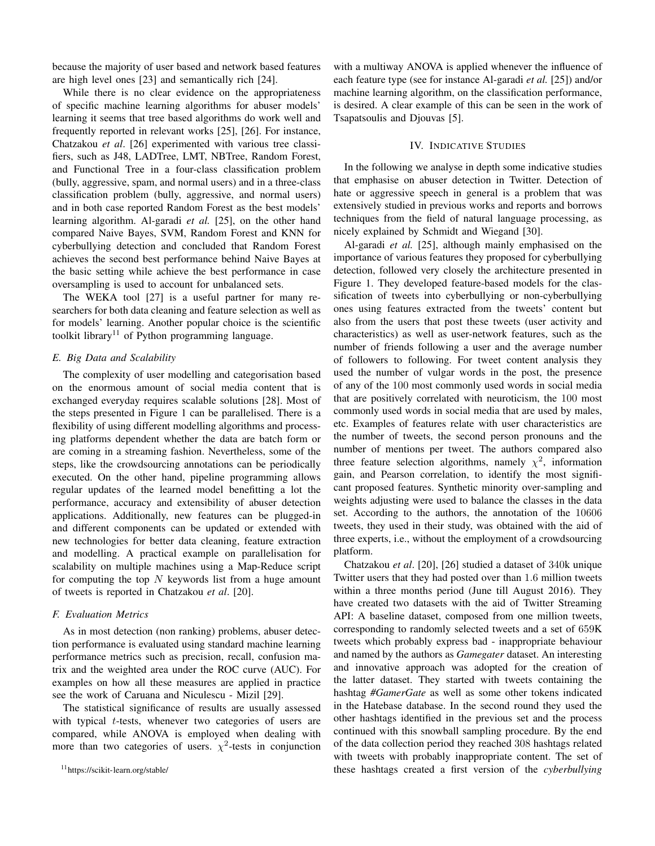because the majority of user based and network based features are high level ones [23] and semantically rich [24].

While there is no clear evidence on the appropriateness of specific machine learning algorithms for abuser models' learning it seems that tree based algorithms do work well and frequently reported in relevant works [25], [26]. For instance, Chatzakou *et al*. [26] experimented with various tree classifiers, such as J48, LADTree, LMT, NBTree, Random Forest, and Functional Tree in a four-class classification problem (bully, aggressive, spam, and normal users) and in a three-class classification problem (bully, aggressive, and normal users) and in both case reported Random Forest as the best models' learning algorithm. Al-garadi *et al.* [25], on the other hand compared Naive Bayes, SVM, Random Forest and KNN for cyberbullying detection and concluded that Random Forest achieves the second best performance behind Naive Bayes at the basic setting while achieve the best performance in case oversampling is used to account for unbalanced sets.

The WEKA tool [27] is a useful partner for many researchers for both data cleaning and feature selection as well as for models' learning. Another popular choice is the scientific toolkit library<sup>11</sup> of Python programming language.

# *E. Big Data and Scalability*

The complexity of user modelling and categorisation based on the enormous amount of social media content that is exchanged everyday requires scalable solutions [28]. Most of the steps presented in Figure 1 can be parallelised. There is a flexibility of using different modelling algorithms and processing platforms dependent whether the data are batch form or are coming in a streaming fashion. Nevertheless, some of the steps, like the crowdsourcing annotations can be periodically executed. On the other hand, pipeline programming allows regular updates of the learned model benefitting a lot the performance, accuracy and extensibility of abuser detection applications. Additionally, new features can be plugged-in and different components can be updated or extended with new technologies for better data cleaning, feature extraction and modelling. A practical example on parallelisation for scalability on multiple machines using a Map-Reduce script for computing the top  $N$  keywords list from a huge amount of tweets is reported in Chatzakou *et al*. [20].

## *F. Evaluation Metrics*

As in most detection (non ranking) problems, abuser detection performance is evaluated using standard machine learning performance metrics such as precision, recall, confusion matrix and the weighted area under the ROC curve (AUC). For examples on how all these measures are applied in practice see the work of Caruana and Niculescu - Mizil [29].

The statistical significance of results are usually assessed with typical *t*-tests, whenever two categories of users are compared, while ANOVA is employed when dealing with more than two categories of users.  $\chi^2$ -tests in conjunction with a multiway ANOVA is applied whenever the influence of each feature type (see for instance Al-garadi *et al.* [25]) and/or machine learning algorithm, on the classification performance, is desired. A clear example of this can be seen in the work of Tsapatsoulis and Djouvas [5].

# IV. INDICATIVE STUDIES

In the following we analyse in depth some indicative studies that emphasise on abuser detection in Twitter. Detection of hate or aggressive speech in general is a problem that was extensively studied in previous works and reports and borrows techniques from the field of natural language processing, as nicely explained by Schmidt and Wiegand [30].

Al-garadi *et al.* [25], although mainly emphasised on the importance of various features they proposed for cyberbullying detection, followed very closely the architecture presented in Figure 1. They developed feature-based models for the classification of tweets into cyberbullying or non-cyberbullying ones using features extracted from the tweets' content but also from the users that post these tweets (user activity and characteristics) as well as user-network features, such as the number of friends following a user and the average number of followers to following. For tweet content analysis they used the number of vulgar words in the post, the presence of any of the 100 most commonly used words in social media that are positively correlated with neuroticism, the 100 most commonly used words in social media that are used by males, etc. Examples of features relate with user characteristics are the number of tweets, the second person pronouns and the number of mentions per tweet. The authors compared also three feature selection algorithms, namely  $\chi^2$ , information gain, and Pearson correlation, to identify the most significant proposed features. Synthetic minority over-sampling and weights adjusting were used to balance the classes in the data set. According to the authors, the annotation of the 10606 tweets, they used in their study, was obtained with the aid of three experts, i.e., without the employment of a crowdsourcing platform.

Chatzakou *et al*. [20], [26] studied a dataset of 340k unique Twitter users that they had posted over than 1.6 million tweets within a three months period (June till August 2016). They have created two datasets with the aid of Twitter Streaming API: A baseline dataset, composed from one million tweets, corresponding to randomly selected tweets and a set of 659K tweets which probably express bad - inappropriate behaviour and named by the authors as *Gamegater* dataset. An interesting and innovative approach was adopted for the creation of the latter dataset. They started with tweets containing the hashtag *#GamerGate* as well as some other tokens indicated in the Hatebase database. In the second round they used the other hashtags identified in the previous set and the process continued with this snowball sampling procedure. By the end of the data collection period they reached 308 hashtags related with tweets with probably inappropriate content. The set of these hashtags created a first version of the *cyberbullying*

<sup>11</sup>https://scikit-learn.org/stable/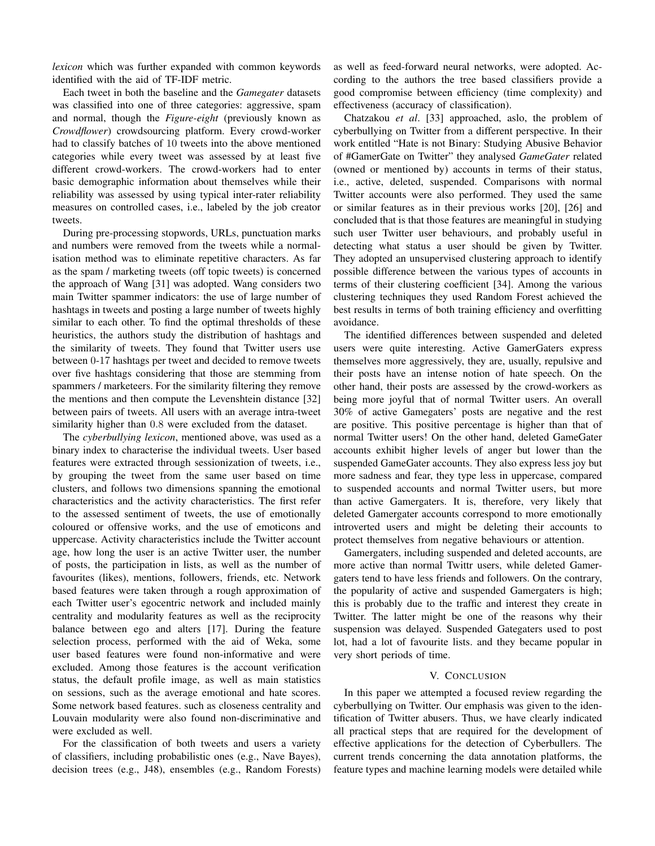*lexicon* which was further expanded with common keywords identified with the aid of TF-IDF metric.

Each tweet in both the baseline and the *Gamegater* datasets was classified into one of three categories: aggressive, spam and normal, though the *Figure-eight* (previously known as *Crowdflower*) crowdsourcing platform. Every crowd-worker had to classify batches of 10 tweets into the above mentioned categories while every tweet was assessed by at least five different crowd-workers. The crowd-workers had to enter basic demographic information about themselves while their reliability was assessed by using typical inter-rater reliability measures on controlled cases, i.e., labeled by the job creator tweets.

During pre-processing stopwords, URLs, punctuation marks and numbers were removed from the tweets while a normalisation method was to eliminate repetitive characters. As far as the spam / marketing tweets (off topic tweets) is concerned the approach of Wang [31] was adopted. Wang considers two main Twitter spammer indicators: the use of large number of hashtags in tweets and posting a large number of tweets highly similar to each other. To find the optimal thresholds of these heuristics, the authors study the distribution of hashtags and the similarity of tweets. They found that Twitter users use between 0-17 hashtags per tweet and decided to remove tweets over five hashtags considering that those are stemming from spammers / marketeers. For the similarity filtering they remove the mentions and then compute the Levenshtein distance [32] between pairs of tweets. All users with an average intra-tweet similarity higher than 0.8 were excluded from the dataset.

The *cyberbullying lexicon*, mentioned above, was used as a binary index to characterise the individual tweets. User based features were extracted through sessionization of tweets, i.e., by grouping the tweet from the same user based on time clusters, and follows two dimensions spanning the emotional characteristics and the activity characteristics. The first refer to the assessed sentiment of tweets, the use of emotionally coloured or offensive works, and the use of emoticons and uppercase. Activity characteristics include the Twitter account age, how long the user is an active Twitter user, the number of posts, the participation in lists, as well as the number of favourites (likes), mentions, followers, friends, etc. Network based features were taken through a rough approximation of each Twitter user's egocentric network and included mainly centrality and modularity features as well as the reciprocity balance between ego and alters [17]. During the feature selection process, performed with the aid of Weka, some user based features were found non-informative and were excluded. Among those features is the account verification status, the default profile image, as well as main statistics on sessions, such as the average emotional and hate scores. Some network based features. such as closeness centrality and Louvain modularity were also found non-discriminative and were excluded as well.

For the classification of both tweets and users a variety of classifiers, including probabilistic ones (e.g., Nave Bayes), decision trees (e.g., J48), ensembles (e.g., Random Forests) as well as feed-forward neural networks, were adopted. According to the authors the tree based classifiers provide a good compromise between efficiency (time complexity) and effectiveness (accuracy of classification).

Chatzakou *et al*. [33] approached, aslo, the problem of cyberbullying on Twitter from a different perspective. In their work entitled "Hate is not Binary: Studying Abusive Behavior of #GamerGate on Twitter" they analysed *GameGater* related (owned or mentioned by) accounts in terms of their status, i.e., active, deleted, suspended. Comparisons with normal Twitter accounts were also performed. They used the same or similar features as in their previous works [20], [26] and concluded that is that those features are meaningful in studying such user Twitter user behaviours, and probably useful in detecting what status a user should be given by Twitter. They adopted an unsupervised clustering approach to identify possible difference between the various types of accounts in terms of their clustering coefficient [34]. Among the various clustering techniques they used Random Forest achieved the best results in terms of both training efficiency and overfitting avoidance.

The identified differences between suspended and deleted users were quite interesting. Active GamerGaters express themselves more aggressively, they are, usually, repulsive and their posts have an intense notion of hate speech. On the other hand, their posts are assessed by the crowd-workers as being more joyful that of normal Twitter users. An overall 30% of active Gamegaters' posts are negative and the rest are positive. This positive percentage is higher than that of normal Twitter users! On the other hand, deleted GameGater accounts exhibit higher levels of anger but lower than the suspended GameGater accounts. They also express less joy but more sadness and fear, they type less in uppercase, compared to suspended accounts and normal Twitter users, but more than active Gamergaters. It is, therefore, very likely that deleted Gamergater accounts correspond to more emotionally introverted users and might be deleting their accounts to protect themselves from negative behaviours or attention.

Gamergaters, including suspended and deleted accounts, are more active than normal Twittr users, while deleted Gamergaters tend to have less friends and followers. On the contrary, the popularity of active and suspended Gamergaters is high; this is probably due to the traffic and interest they create in Twitter. The latter might be one of the reasons why their suspension was delayed. Suspended Gategaters used to post lot, had a lot of favourite lists. and they became popular in very short periods of time.

# V. CONCLUSION

In this paper we attempted a focused review regarding the cyberbullying on Twitter. Our emphasis was given to the identification of Twitter abusers. Thus, we have clearly indicated all practical steps that are required for the development of effective applications for the detection of Cyberbullers. The current trends concerning the data annotation platforms, the feature types and machine learning models were detailed while